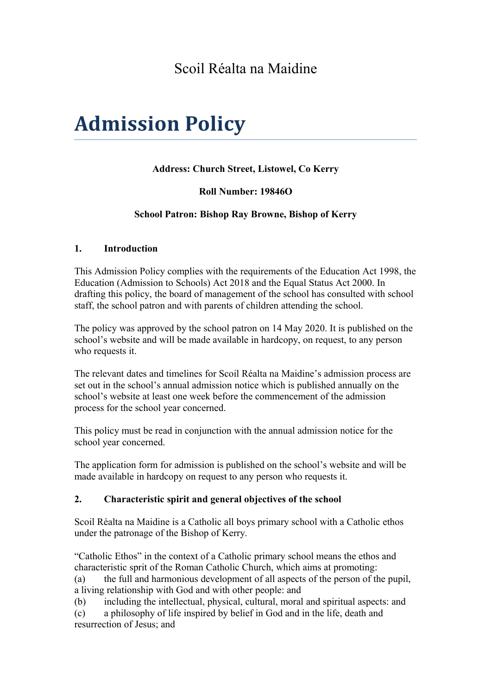# Scoil Réalta na Maidine

# **Admission Policy**

#### **Address: Church Street, Listowel, Co Kerry**

#### **Roll Number: 19846O**

#### **School Patron: Bishop Ray Browne, Bishop of Kerry**

#### **1. Introduction**

This Admission Policy complies with the requirements of the Education Act 1998, the Education (Admission to Schools) Act 2018 and the Equal Status Act 2000. In drafting this policy, the board of management of the school has consulted with school staff, the school patron and with parents of children attending the school.

The policy was approved by the school patron on 14 May 2020. It is published on the school's website and will be made available in hardcopy, on request, to any person who requests it.

The relevant dates and timelines for Scoil Réalta na Maidine's admission process are set out in the school's annual admission notice which is published annually on the school's website at least one week before the commencement of the admission process for the school year concerned.

This policy must be read in conjunction with the annual admission notice for the school year concerned.

The application form for admission is published on the school's website and will be made available in hardcopy on request to any person who requests it.

#### **2. Characteristic spirit and general objectives of the school**

Scoil Réalta na Maidine is a Catholic all boys primary school with a Catholic ethos under the patronage of the Bishop of Kerry.

"Catholic Ethos" in the context of a Catholic primary school means the ethos and characteristic sprit of the Roman Catholic Church, which aims at promoting:

(a) the full and harmonious development of all aspects of the person of the pupil, a living relationship with God and with other people: and

(b) including the intellectual, physical, cultural, moral and spiritual aspects: and

(c) a philosophy of life inspired by belief in God and in the life, death and resurrection of Jesus; and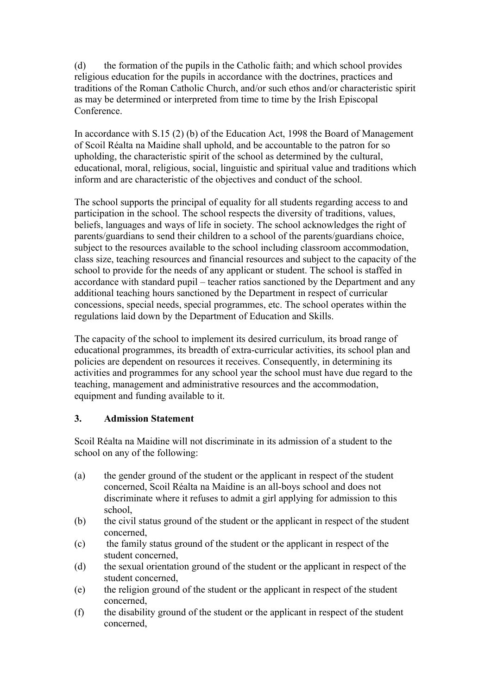(d) the formation of the pupils in the Catholic faith; and which school provides religious education for the pupils in accordance with the doctrines, practices and traditions of the Roman Catholic Church, and/or such ethos and/or characteristic spirit as may be determined or interpreted from time to time by the Irish Episcopal Conference.

In accordance with S.15 (2) (b) of the Education Act, 1998 the Board of Management of Scoil Réalta na Maidine shall uphold, and be accountable to the patron for so upholding, the characteristic spirit of the school as determined by the cultural, educational, moral, religious, social, linguistic and spiritual value and traditions which inform and are characteristic of the objectives and conduct of the school.

The school supports the principal of equality for all students regarding access to and participation in the school. The school respects the diversity of traditions, values, beliefs, languages and ways of life in society. The school acknowledges the right of parents/guardians to send their children to a school of the parents/guardians choice, subject to the resources available to the school including classroom accommodation, class size, teaching resources and financial resources and subject to the capacity of the school to provide for the needs of any applicant or student. The school is staffed in accordance with standard pupil – teacher ratios sanctioned by the Department and any additional teaching hours sanctioned by the Department in respect of curricular concessions, special needs, special programmes, etc. The school operates within the regulations laid down by the Department of Education and Skills.

The capacity of the school to implement its desired curriculum, its broad range of educational programmes, its breadth of extra-curricular activities, its school plan and policies are dependent on resources it receives. Consequently, in determining its activities and programmes for any school year the school must have due regard to the teaching, management and administrative resources and the accommodation, equipment and funding available to it.

#### **3. Admission Statement**

Scoil Réalta na Maidine will not discriminate in its admission of a student to the school on any of the following:

- (a) the gender ground of the student or the applicant in respect of the student concerned, Scoil Réalta na Maidine is an all-boys school and does not discriminate where it refuses to admit a girl applying for admission to this school,
- (b) the civil status ground of the student or the applicant in respect of the student concerned,
- (c) the family status ground of the student or the applicant in respect of the student concerned,
- (d) the sexual orientation ground of the student or the applicant in respect of the student concerned,
- (e) the religion ground of the student or the applicant in respect of the student concerned,
- (f) the disability ground of the student or the applicant in respect of the student concerned,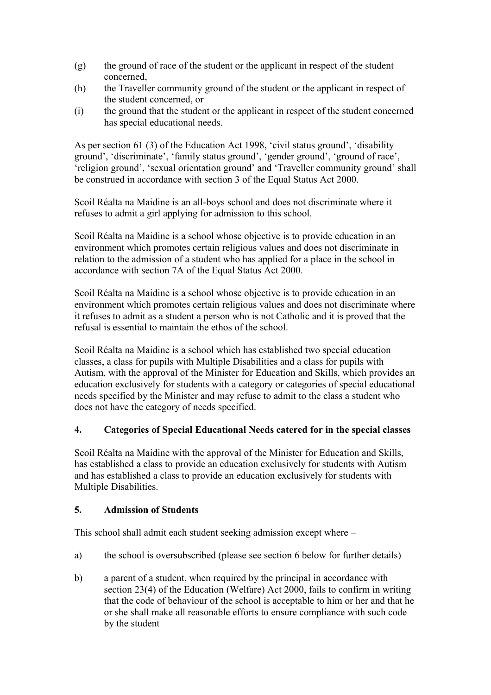- (g) the ground of race of the student or the applicant in respect of the student concerned,
- (h) the Traveller community ground of the student or the applicant in respect of the student concerned, or
- (i) the ground that the student or the applicant in respect of the student concerned has special educational needs.

As per section 61 (3) of the Education Act 1998, 'civil status ground', 'disability ground', 'discriminate', 'family status ground', 'gender ground', 'ground of race', 'religion ground', 'sexual orientation ground' and 'Traveller community ground' shall be construed in accordance with section 3 of the Equal Status Act 2000.

Scoil Réalta na Maidine is an all-boys school and does not discriminate where it refuses to admit a girl applying for admission to this school.

Scoil Réalta na Maidine is a school whose objective is to provide education in an environment which promotes certain religious values and does not discriminate in relation to the admission of a student who has applied for a place in the school in accordance with section 7A of the Equal Status Act 2000.

Scoil Réalta na Maidine is a school whose objective is to provide education in an environment which promotes certain religious values and does not discriminate where it refuses to admit as a student a person who is not Catholic and it is proved that the refusal is essential to maintain the ethos of the school.

Scoil Réalta na Maidine is a school which has established two special education classes, a class for pupils with Multiple Disabilities and a class for pupils with Autism, with the approval of the Minister for Education and Skills, which provides an education exclusively for students with a category or categories of special educational needs specified by the Minister and may refuse to admit to the class a student who does not have the category of needs specified.

#### **4. Categories of Special Educational Needs catered for in the special classes**

Scoil Réalta na Maidine with the approval of the Minister for Education and Skills, has established a class to provide an education exclusively for students with Autism and has established a class to provide an education exclusively for students with Multiple Disabilities.

#### **5. Admission of Students**

This school shall admit each student seeking admission except where –

- a) the school is oversubscribed (please see section 6 below for further details)
- b) a parent of a student, when required by the principal in accordance with section 23(4) of the Education (Welfare) Act 2000, fails to confirm in writing that the code of behaviour of the school is acceptable to him or her and that he or she shall make all reasonable efforts to ensure compliance with such code by the student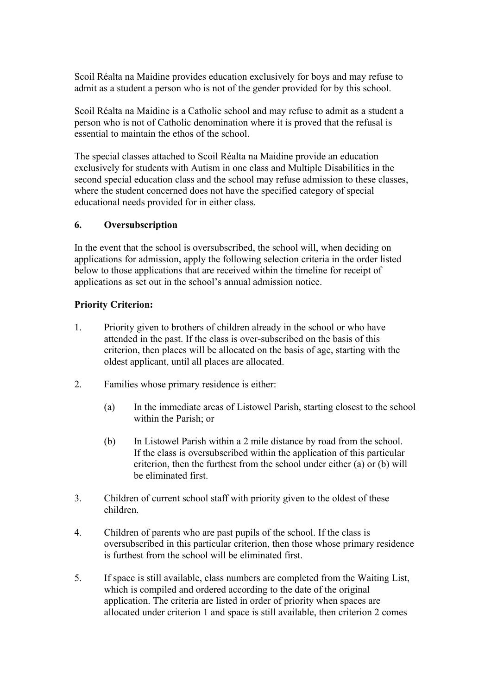Scoil Réalta na Maidine provides education exclusively for boys and may refuse to admit as a student a person who is not of the gender provided for by this school.

Scoil Réalta na Maidine is a Catholic school and may refuse to admit as a student a person who is not of Catholic denomination where it is proved that the refusal is essential to maintain the ethos of the school.

The special classes attached to Scoil Réalta na Maidine provide an education exclusively for students with Autism in one class and Multiple Disabilities in the second special education class and the school may refuse admission to these classes, where the student concerned does not have the specified category of special educational needs provided for in either class.

#### **6. Oversubscription**

In the event that the school is oversubscribed, the school will, when deciding on applications for admission, apply the following selection criteria in the order listed below to those applications that are received within the timeline for receipt of applications as set out in the school's annual admission notice.

#### **Priority Criterion:**

- 1. Priority given to brothers of children already in the school or who have attended in the past. If the class is over-subscribed on the basis of this criterion, then places will be allocated on the basis of age, starting with the oldest applicant, until all places are allocated.
- 2. Families whose primary residence is either:
	- (a) In the immediate areas of Listowel Parish, starting closest to the school within the Parish; or
	- (b) In Listowel Parish within a 2 mile distance by road from the school. If the class is oversubscribed within the application of this particular criterion, then the furthest from the school under either (a) or (b) will be eliminated first.
- 3. Children of current school staff with priority given to the oldest of these children.
- 4. Children of parents who are past pupils of the school. If the class is oversubscribed in this particular criterion, then those whose primary residence is furthest from the school will be eliminated first.
- 5. If space is still available, class numbers are completed from the Waiting List, which is compiled and ordered according to the date of the original application. The criteria are listed in order of priority when spaces are allocated under criterion 1 and space is still available, then criterion 2 comes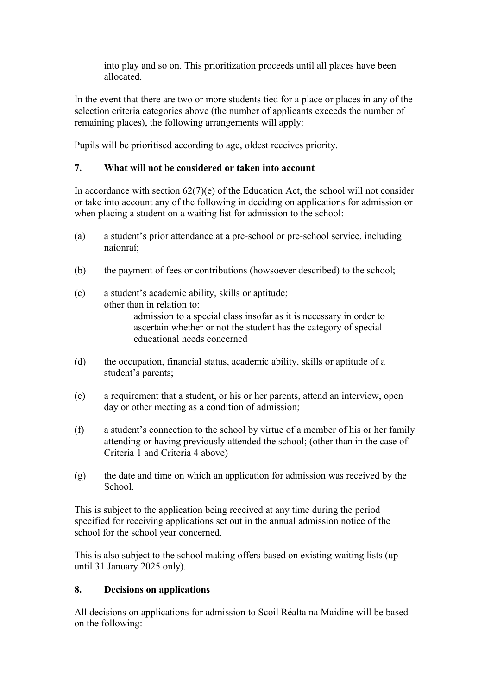into play and so on. This prioritization proceeds until all places have been allocated.

In the event that there are two or more students tied for a place or places in any of the selection criteria categories above (the number of applicants exceeds the number of remaining places), the following arrangements will apply:

Pupils will be prioritised according to age, oldest receives priority.

# **7. What will not be considered or taken into account**

In accordance with section  $62(7)(e)$  of the Education Act, the school will not consider or take into account any of the following in deciding on applications for admission or when placing a student on a waiting list for admission to the school:

- (a) a student's prior attendance at a pre-school or pre-school service, including naíonraí;
- (b) the payment of fees or contributions (howsoever described) to the school;

(c) a student's academic ability, skills or aptitude; other than in relation to: admission to a special class insofar as it is necessary in order to ascertain whether or not the student has the category of special educational needs concerned

- (d) the occupation, financial status, academic ability, skills or aptitude of a student's parents;
- (e) a requirement that a student, or his or her parents, attend an interview, open day or other meeting as a condition of admission;
- (f) a student's connection to the school by virtue of a member of his or her family attending or having previously attended the school; (other than in the case of Criteria 1 and Criteria 4 above)
- (g) the date and time on which an application for admission was received by the School.

This is subject to the application being received at any time during the period specified for receiving applications set out in the annual admission notice of the school for the school year concerned.

This is also subject to the school making offers based on existing waiting lists (up until 31 January 2025 only).

# **8. Decisions on applications**

All decisions on applications for admission to Scoil Réalta na Maidine will be based on the following: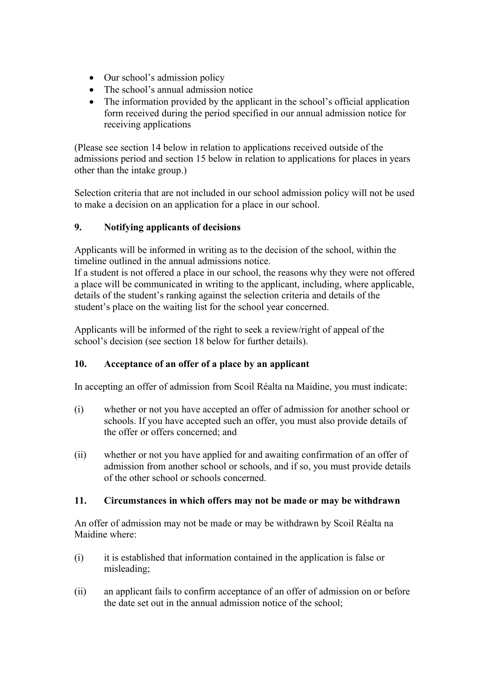- Our school's admission policy
- The school's annual admission notice
- The information provided by the applicant in the school's official application form received during the period specified in our annual admission notice for receiving applications

(Please see section 14 below in relation to applications received outside of the admissions period and section 15 below in relation to applications for places in years other than the intake group.)

Selection criteria that are not included in our school admission policy will not be used to make a decision on an application for a place in our school.

#### **9. Notifying applicants of decisions**

Applicants will be informed in writing as to the decision of the school, within the timeline outlined in the annual admissions notice.

If a student is not offered a place in our school, the reasons why they were not offered a place will be communicated in writing to the applicant, including, where applicable, details of the student's ranking against the selection criteria and details of the student's place on the waiting list for the school year concerned.

Applicants will be informed of the right to seek a review/right of appeal of the school's decision (see section 18 below for further details).

#### **10. Acceptance of an offer of a place by an applicant**

In accepting an offer of admission from Scoil Réalta na Maidine, you must indicate:

- (i) whether or not you have accepted an offer of admission for another school or schools. If you have accepted such an offer, you must also provide details of the offer or offers concerned; and
- (ii) whether or not you have applied for and awaiting confirmation of an offer of admission from another school or schools, and if so, you must provide details of the other school or schools concerned.

#### **11. Circumstances in which offers may not be made or may be withdrawn**

An offer of admission may not be made or may be withdrawn by Scoil Réalta na Maidine where:

- (i) it is established that information contained in the application is false or misleading;
- (ii) an applicant fails to confirm acceptance of an offer of admission on or before the date set out in the annual admission notice of the school;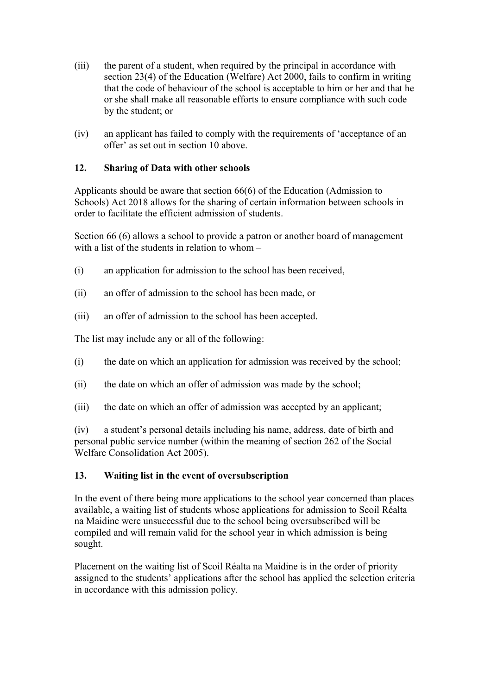- (iii) the parent of a student, when required by the principal in accordance with section 23(4) of the Education (Welfare) Act 2000, fails to confirm in writing that the code of behaviour of the school is acceptable to him or her and that he or she shall make all reasonable efforts to ensure compliance with such code by the student; or
- (iv) an applicant has failed to comply with the requirements of 'acceptance of an offer' as set out in section 10 above.

#### **12. Sharing of Data with other schools**

Applicants should be aware that section 66(6) of the Education (Admission to Schools) Act 2018 allows for the sharing of certain information between schools in order to facilitate the efficient admission of students.

Section 66 (6) allows a school to provide a patron or another board of management with a list of the students in relation to whom –

- (i) an application for admission to the school has been received,
- (ii) an offer of admission to the school has been made, or
- (iii) an offer of admission to the school has been accepted.

The list may include any or all of the following:

- (i) the date on which an application for admission was received by the school;
- (ii) the date on which an offer of admission was made by the school;
- (iii) the date on which an offer of admission was accepted by an applicant;

(iv) a student's personal details including his name, address, date of birth and personal public service number (within the meaning of section 262 of the Social Welfare Consolidation Act 2005).

#### **13. Waiting list in the event of oversubscription**

In the event of there being more applications to the school year concerned than places available, a waiting list of students whose applications for admission to Scoil Réalta na Maidine were unsuccessful due to the school being oversubscribed will be compiled and will remain valid for the school year in which admission is being sought.

Placement on the waiting list of Scoil Réalta na Maidine is in the order of priority assigned to the students' applications after the school has applied the selection criteria in accordance with this admission policy.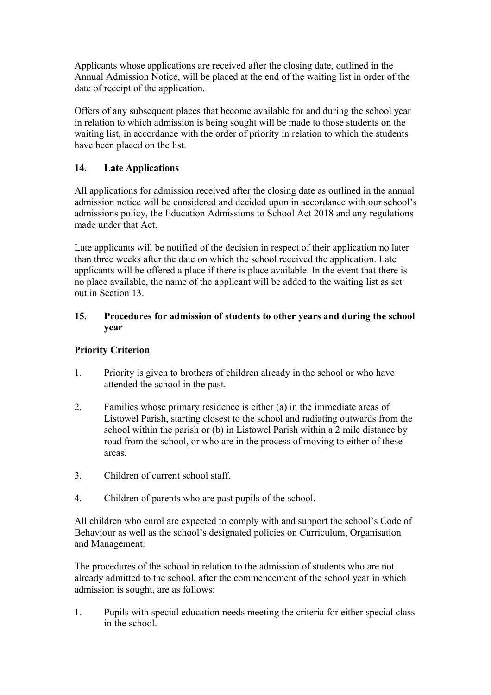Applicants whose applications are received after the closing date, outlined in the Annual Admission Notice, will be placed at the end of the waiting list in order of the date of receipt of the application.

Offers of any subsequent places that become available for and during the school year in relation to which admission is being sought will be made to those students on the waiting list, in accordance with the order of priority in relation to which the students have been placed on the list.

# **14. Late Applications**

All applications for admission received after the closing date as outlined in the annual admission notice will be considered and decided upon in accordance with our school's admissions policy, the Education Admissions to School Act 2018 and any regulations made under that Act.

Late applicants will be notified of the decision in respect of their application no later than three weeks after the date on which the school received the application. Late applicants will be offered a place if there is place available. In the event that there is no place available, the name of the applicant will be added to the waiting list as set out in Section 13.

#### **15. Procedures for admission of students to other years and during the school year**

# **Priority Criterion**

- 1. Priority is given to brothers of children already in the school or who have attended the school in the past.
- 2. Families whose primary residence is either (a) in the immediate areas of Listowel Parish, starting closest to the school and radiating outwards from the school within the parish or (b) in Listowel Parish within a 2 mile distance by road from the school, or who are in the process of moving to either of these areas.
- 3. Children of current school staff.
- 4. Children of parents who are past pupils of the school.

All children who enrol are expected to comply with and support the school's Code of Behaviour as well as the school's designated policies on Curriculum, Organisation and Management.

The procedures of the school in relation to the admission of students who are not already admitted to the school, after the commencement of the school year in which admission is sought, are as follows:

1. Pupils with special education needs meeting the criteria for either special class in the school.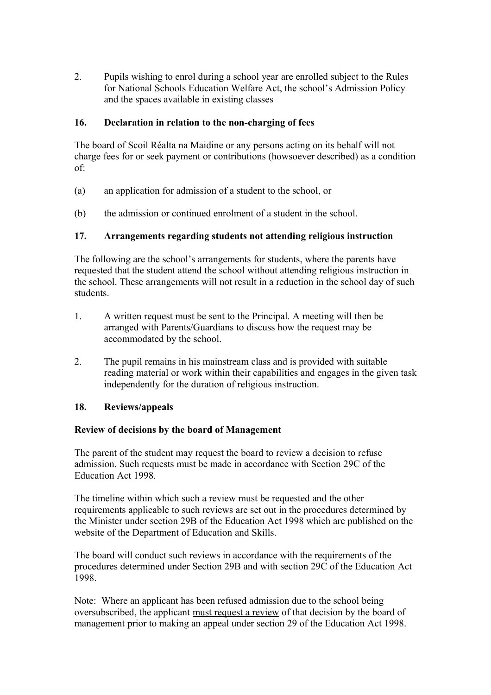2. Pupils wishing to enrol during a school year are enrolled subject to the Rules for National Schools Education Welfare Act, the school's Admission Policy and the spaces available in existing classes

#### **16. Declaration in relation to the non-charging of fees**

The board of Scoil Réalta na Maidine or any persons acting on its behalf will not charge fees for or seek payment or contributions (howsoever described) as a condition of:

- (a) an application for admission of a student to the school, or
- (b) the admission or continued enrolment of a student in the school.

## **17. Arrangements regarding students not attending religious instruction**

The following are the school's arrangements for students, where the parents have requested that the student attend the school without attending religious instruction in the school. These arrangements will not result in a reduction in the school day of such students.

- 1. A written request must be sent to the Principal. A meeting will then be arranged with Parents/Guardians to discuss how the request may be accommodated by the school.
- 2. The pupil remains in his mainstream class and is provided with suitable reading material or work within their capabilities and engages in the given task independently for the duration of religious instruction.

#### **18. Reviews/appeals**

#### **Review of decisions by the board of Management**

The parent of the student may request the board to review a decision to refuse admission. Such requests must be made in accordance with Section 29C of the Education Act 1998.

The timeline within which such a review must be requested and the other requirements applicable to such reviews are set out in the procedures determined by the Minister under section 29B of the Education Act 1998 which are published on the website of the Department of Education and Skills.

The board will conduct such reviews in accordance with the requirements of the procedures determined under Section 29B and with section 29C of the Education Act 1998.

Note: Where an applicant has been refused admission due to the school being oversubscribed, the applicant must request a review of that decision by the board of management prior to making an appeal under section 29 of the Education Act 1998.